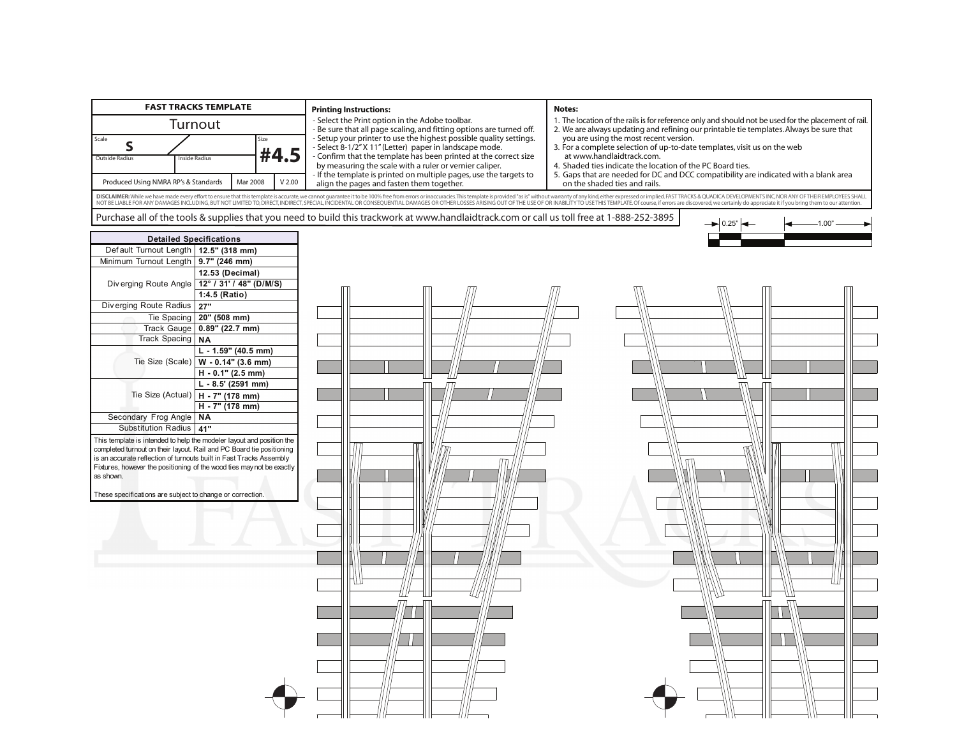